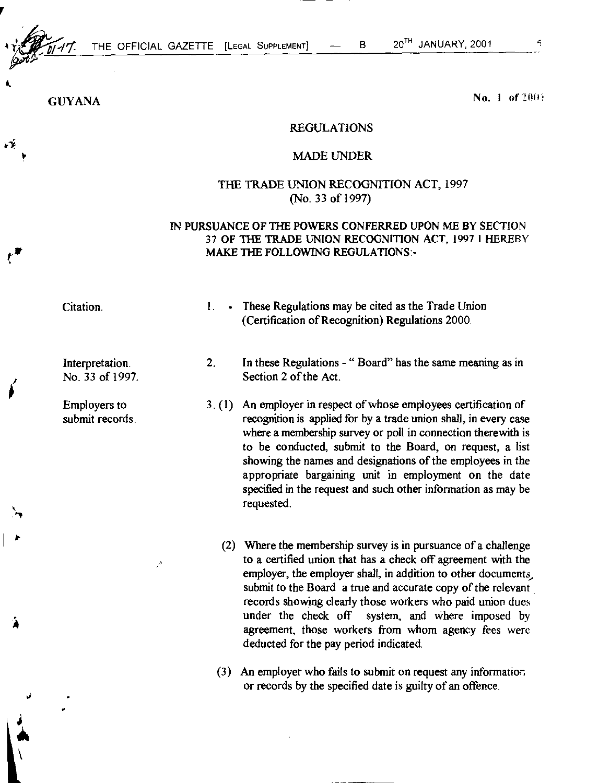*•*4 *"*

4.

ب<br>بلاء

 $\ddot{\phantom{0}}$ 

•

THE OFFICIAL GAZETTE [LEGAL SUPPLEMENT]  $-$  B 20<sup>TH</sup> JANUARY, 2001

 $GUVANA$  no. 1 of 2001

## REGULATIONS

## MADE UNDER

## THE TRADE UNION RECOGNITION ACT, 1997 (No. 33 of 1997)

## IN PURSUANCE OF THE POWERS CONFERRED UPON ME BY SECTION 37 OF THE TRADE UNION RECOGNITION ACT, 1997 1 HEREBY MAKE THE FOLLOWING REGULATIONS:-

Interpretation. No. 33 of 1997.

Employers to submit records.

 $\mathcal{P}$ 

- Citation. 1. These Regulations may be cited as the Trade Union (Certification of Recognition) Regulations 2000.
	- 2. In these Regulations - " Board" has the same meaning as in Section 2 of the Act.
	- 3. (1) An employer in respect of whose employees certification of recognition is applied for by a trade union shall, in every case where a membership survey or poll in connection therewith is to be conducted, submit to the Board, on request, a list showing the names and designations of the employees in the appropriate bargaining unit in employment on the date specified in the request and such other information as may be requested.
		- (2) Where the membership survey is in pursuance of a challenge to a certified union that has a check off agreement with the employer, the employer shall, in addition to other documents, submit to the Board a true and accurate copy of the relevant records showing clearly those workers who paid union dues under the check off system, and where imposed by agreement, those workers from whom agency fees were deducted for the pay period indicated.
		- (3) An employer who fails to submit on request any information or records by the specified date is guilty of an offence.

 $\mathcal{L}_1$